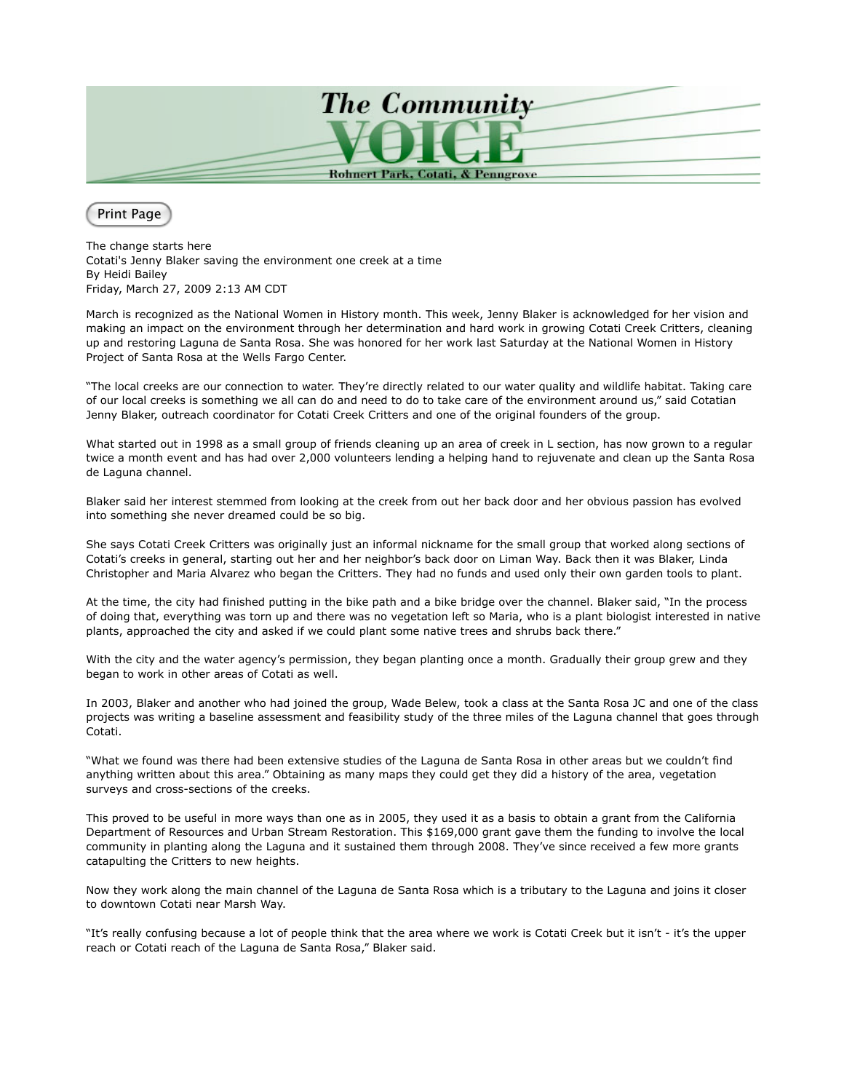

Print Page

The change starts here Cotati's Jenny Blaker saving the environment one creek at a time By Heidi Bailey Friday, March 27, 2009 2:13 AM CDT

March is recognized as the National Women in History month. This week, Jenny Blaker is acknowledged for her vision and making an impact on the environment through her determination and hard work in growing Cotati Creek Critters, cleaning up and restoring Laguna de Santa Rosa. She was honored for her work last Saturday at the National Women in History Project of Santa Rosa at the Wells Fargo Center.

"The local creeks are our connection to water. They're directly related to our water quality and wildlife habitat. Taking care of our local creeks is something we all can do and need to do to take care of the environment around us," said Cotatian Jenny Blaker, outreach coordinator for Cotati Creek Critters and one of the original founders of the group.

What started out in 1998 as a small group of friends cleaning up an area of creek in L section, has now grown to a regular twice a month event and has had over 2,000 volunteers lending a helping hand to rejuvenate and clean up the Santa Rosa de Laguna channel.

Blaker said her interest stemmed from looking at the creek from out her back door and her obvious passion has evolved into something she never dreamed could be so big.

She says Cotati Creek Critters was originally just an informal nickname for the small group that worked along sections of Cotati's creeks in general, starting out her and her neighbor's back door on Liman Way. Back then it was Blaker, Linda Christopher and Maria Alvarez who began the Critters. They had no funds and used only their own garden tools to plant.

At the time, the city had finished putting in the bike path and a bike bridge over the channel. Blaker said, "In the process of doing that, everything was torn up and there was no vegetation left so Maria, who is a plant biologist interested in native plants, approached the city and asked if we could plant some native trees and shrubs back there."

With the city and the water agency's permission, they began planting once a month. Gradually their group grew and they began to work in other areas of Cotati as well.

In 2003, Blaker and another who had joined the group, Wade Belew, took a class at the Santa Rosa JC and one of the class projects was writing a baseline assessment and feasibility study of the three miles of the Laguna channel that goes through Cotati.

"What we found was there had been extensive studies of the Laguna de Santa Rosa in other areas but we couldn't find anything written about this area." Obtaining as many maps they could get they did a history of the area, vegetation surveys and cross-sections of the creeks.

This proved to be useful in more ways than one as in 2005, they used it as a basis to obtain a grant from the California Department of Resources and Urban Stream Restoration. This \$169,000 grant gave them the funding to involve the local community in planting along the Laguna and it sustained them through 2008. They've since received a few more grants catapulting the Critters to new heights.

Now they work along the main channel of the Laguna de Santa Rosa which is a tributary to the Laguna and joins it closer to downtown Cotati near Marsh Way.

"It's really confusing because a lot of people think that the area where we work is Cotati Creek but it isn't - it's the upper reach or Cotati reach of the Laguna de Santa Rosa," Blaker said.